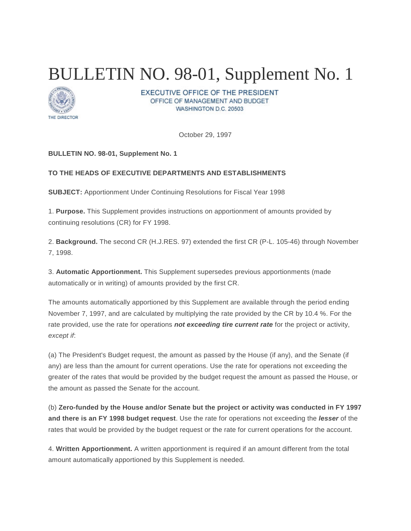## BULLETIN NO. 98-01, Supplement No. 1



EXECUTIVE OFFICE OF THE PRESIDENT OFFICE OF MANAGEMENT AND BUDGET WASHINGTON D.C. 20503

October 29, 1997

## **BULLETIN NO. 98-01, Supplement No. 1**

## **TO THE HEADS OF EXECUTIVE DEPARTMENTS AND ESTABLISHMENTS**

**SUBJECT:** Apportionment Under Continuing Resolutions for Fiscal Year 1998

1. **Purpose.** This Supplement provides instructions on apportionment of amounts provided by continuing resolutions (CR) for FY 1998.

2. **Background.** The second CR (H.J.RES. 97) extended the first CR (P-L. 105-46) through November 7, 1998.

3. **Automatic Apportionment.** This Supplement supersedes previous apportionments (made automatically or in writing) of amounts provided by the first CR.

The amounts automatically apportioned by this Supplement are available through the period ending November 7, 1997, and are calculated by multiplying the rate provided by the CR by 10.4 %. For the rate provided, use the rate for operations *not exceeding tire current rate* for the project or activity, *except if*:

(a) The President's Budget request, the amount as passed by the House (if any), and the Senate (if any) are less than the amount for current operations. Use the rate for operations not exceeding the greater of the rates that would be provided by the budget request the amount as passed the House, or the amount as passed the Senate for the account.

(b) **Zero-funded by the House and/or Senate but the project or activity was conducted in FY 1997 and there is an FY 1998 budget request**. Use the rate for operations not exceeding the *lesser* of the rates that would be provided by the budget request or the rate for current operations for the account.

4. **Written Apportionment.** A written apportionment is required if an amount different from the total amount automatically apportioned by this Supplement is needed.